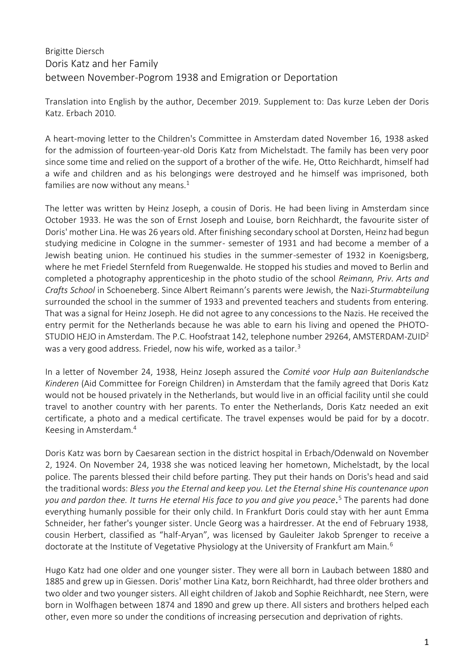## Brigitte Diersch Doris Katz and her Family between November-Pogrom 1938 and Emigration or Deportation

Translation into English by the author, December 2019. Supplement to: Das kurze Leben der Doris Katz. Erbach 2010.

A heart-moving letter to the Children's Committee in Amsterdam dated November 16, 1938 asked for the admission of fourteen-year-old Doris Katz from Michelstadt. The family has been very poor since some time and relied on the support of a brother of the wife. He, Otto Reichhardt, himself had a wife and children and as his belongings were destroyed and he himself was imprisoned, both families are now without any means. $1$ 

The letter was written by Heinz Joseph, a cousin of Doris. He had been living in Amsterdam since October 1933. He was the son of Ernst Joseph and Louise, born Reichhardt, the favourite sister of Doris' mother Lina. He was 26 years old. After finishing secondary school at Dorsten, Heinz had begun studying medicine in Cologne in the summer- semester of 1931 and had become a member of a Jewish beating union. He continued his studies in the summer-semester of 1932 in Koenigsberg, where he met Friedel Sternfeld from Ruegenwalde. He stopped his studies and moved to Berlin and completed a photography apprenticeship in the photo studio of the school *Reimann, Priv. Arts and Crafts School* in Schoeneberg. Since Albert Reimann's parents were Jewish, the Nazi-*Sturmabteilung* surrounded the school in the summer of 1933 and prevented teachers and students from entering. That was a signal for Heinz Joseph. He did not agree to any concessions to the Nazis. He received the entry permit for the Netherlands because he was able to earn his living and opened the PHOTO-STUDIO HEJO in Amsterdam. The P.C. Hoofstraat 142, telephone number 29264, AMSTERDAM-ZUID<sup>2</sup> was a very good address. Friedel, now his wife, worked as a tailor.<sup>3</sup>

In a letter of November 24, 1938, Heinz Joseph assured the *Comité voor Hulp aan Buitenlandsche Kinderen* (Aid Committee for Foreign Children) in Amsterdam that the family agreed that Doris Katz would not be housed privately in the Netherlands, but would live in an official facility until she could travel to another country with her parents. To enter the Netherlands, Doris Katz needed an exit certificate, a photo and a medical certificate. The travel expenses would be paid for by a docotr. Keesing in Amsterdam.<sup>4</sup>

Doris Katz was born by Caesarean section in the district hospital in Erbach/Odenwald on November 2, 1924. On November 24, 1938 she was noticed leaving her hometown, Michelstadt, by the local police. The parents blessed their child before parting. They put their hands on Doris's head and said the traditional words: *Bless you the Eternal and keep you. Let the Eternal shine His countenance upon you and pardon thee. It turns He eternal His face to you and give you peace.* <sup>5</sup> The parents had done everything humanly possible for their only child. In Frankfurt Doris could stay with her aunt Emma Schneider, her father's younger sister. Uncle Georg was a hairdresser. At the end of February 1938, cousin Herbert, classified as "half-Aryan", was licensed by Gauleiter Jakob Sprenger to receive a doctorate at the Institute of Vegetative Physiology at the University of Frankfurt am Main.<sup>6</sup>

Hugo Katz had one older and one younger sister. They were all born in Laubach between 1880 and 1885 and grew up in Giessen. Doris' mother Lina Katz, born Reichhardt, had three older brothers and two older and two younger sisters. All eight children of Jakob and Sophie Reichhardt, nee Stern, were born in Wolfhagen between 1874 and 1890 and grew up there. All sisters and brothers helped each other, even more so under the conditions of increasing persecution and deprivation of rights.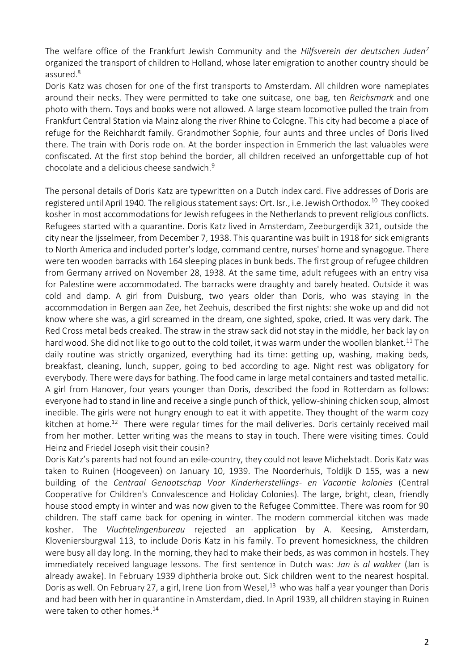The welfare office of the Frankfurt Jewish Community and the *Hilfsverein der deutschen Juden<sup>7</sup>* organized the transport of children to Holland, whose later emigration to another country should be assured.<sup>8</sup>

Doris Katz was chosen for one of the first transports to Amsterdam. All children wore nameplates around their necks. They were permitted to take one suitcase, one bag, ten *Reichsmark* and one photo with them. Toys and books were not allowed. A large steam locomotive pulled the train from Frankfurt Central Station via Mainz along the river Rhine to Cologne. This city had become a place of refuge for the Reichhardt family. Grandmother Sophie, four aunts and three uncles of Doris lived there. The train with Doris rode on. At the border inspection in Emmerich the last valuables were confiscated. At the first stop behind the border, all children received an unforgettable cup of hot chocolate and a delicious cheese sandwich.<sup>9</sup>

The personal details of Doris Katz are typewritten on a Dutch index card. Five addresses of Doris are registered until April 1940. The religious statement says: Ort. Isr., i.e. Jewish Orthodox.<sup>10</sup> They cooked kosher in most accommodations for Jewish refugees in the Netherlands to prevent religious conflicts. Refugees started with a quarantine. Doris Katz lived in Amsterdam, Zeeburgerdijk 321, outside the city near the Ijsselmeer, from December 7, 1938. This quarantine was built in 1918 for sick emigrants to North America and included porter's lodge, command centre, nurses' home and synagogue. There were ten wooden barracks with 164 sleeping places in bunk beds. The first group of refugee children from Germany arrived on November 28, 1938. At the same time, adult refugees with an entry visa for Palestine were accommodated. The barracks were draughty and barely heated. Outside it was cold and damp. A girl from Duisburg, two years older than Doris, who was staying in the accommodation in Bergen aan Zee, het Zeehuis, described the first nights: she woke up and did not know where she was, a girl screamed in the dream, one sighted, spoke, cried. It was very dark. The Red Cross metal beds creaked. The straw in the straw sack did not stay in the middle, her back lay on hard wood. She did not like to go out to the cold toilet, it was warm under the woollen blanket.<sup>11</sup> The daily routine was strictly organized, everything had its time: getting up, washing, making beds, breakfast, cleaning, lunch, supper, going to bed according to age. Night rest was obligatory for everybody. There were days for bathing. The food came in large metal containers and tasted metallic. A girl from Hanover, four years younger than Doris, described the food in Rotterdam as follows: everyone had to stand in line and receive a single punch of thick, yellow-shining chicken soup, almost inedible. The girls were not hungry enough to eat it with appetite. They thought of the warm cozy kitchen at home.<sup>12</sup> There were regular times for the mail deliveries. Doris certainly received mail from her mother. Letter writing was the means to stay in touch. There were visiting times. Could Heinz and Friedel Joseph visit their cousin?

Doris Katz's parents had not found an exile-country, they could not leave Michelstadt. Doris Katz was taken to Ruinen (Hoogeveen) on January 10, 1939. The Noorderhuis, Toldijk D 155, was a new building of the *Centraal Genootschap Voor Kinderherstellings- en Vacantie kolonies* (Central Cooperative for Children's Convalescence and Holiday Colonies). The large, bright, clean, friendly house stood empty in winter and was now given to the Refugee Committee. There was room for 90 children. The staff came back for opening in winter. The modern commercial kitchen was made kosher. The *Vluchtelingenbureau* rejected an application by A. Keesing, Amsterdam, Kloveniersburgwal 113, to include Doris Katz in his family. To prevent homesickness, the children were busy all day long. In the morning, they had to make their beds, as was common in hostels. They immediately received language lessons. The first sentence in Dutch was: *Jan is al wakker* (Jan is already awake). In February 1939 diphtheria broke out. Sick children went to the nearest hospital. Doris as well. On February 27, a girl, Irene Lion from Wesel,<sup>13</sup> who was half a year younger than Doris and had been with her in quarantine in Amsterdam, died. In April 1939, all children staying in Ruinen were taken to other homes.<sup>14</sup>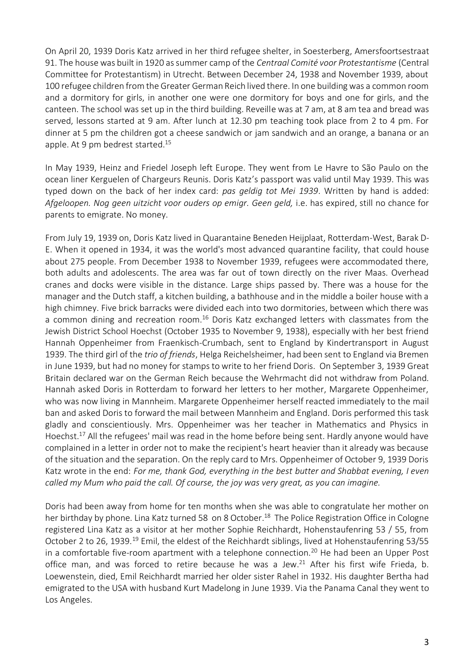On April 20, 1939 Doris Katz arrived in her third refugee shelter, in Soesterberg, Amersfoortsestraat 91. The house was built in 1920 as summer camp of the *Centraal Comité voor Protestantisme* (Central Committee for Protestantism) in Utrecht. Between December 24, 1938 and November 1939, about 100 refugee children from the Greater German Reich lived there. In one building was a common room and a dormitory for girls, in another one were one dormitory for boys and one for girls, and the canteen. The school was set up in the third building. Reveille was at 7 am, at 8 am tea and bread was served, lessons started at 9 am. After lunch at 12.30 pm teaching took place from 2 to 4 pm. For dinner at 5 pm the children got a cheese sandwich or jam sandwich and an orange, a banana or an apple. At 9 pm bedrest started.<sup>15</sup>

In May 1939, Heinz and Friedel Joseph left Europe. They went from Le Havre to São Paulo on the ocean liner Kerguelen of Chargeurs Reunis. Doris Katz's passport was valid until May 1939. This was typed down on the back of her index card: *pas geldig tot Mei 1939*. Written by hand is added: *Afgeloopen. Nog geen uitzicht voor ouders op emigr. Geen geld,* i.e. has expired, still no chance for parents to emigrate. No money.

From July 19, 1939 on, Doris Katz lived in Quarantaine Beneden Heijplaat, Rotterdam-West, Barak D-E. When it opened in 1934, it was the world's most advanced quarantine facility, that could house about 275 people. From December 1938 to November 1939, refugees were accommodated there, both adults and adolescents. The area was far out of town directly on the river Maas. Overhead cranes and docks were visible in the distance. Large ships passed by. There was a house for the manager and the Dutch staff, a kitchen building, a bathhouse and in the middle a boiler house with a high chimney. Five brick barracks were divided each into two dormitories, between which there was a common dining and recreation room.<sup>16</sup> Doris Katz exchanged letters with classmates from the Jewish District School Hoechst (October 1935 to November 9, 1938), especially with her best friend Hannah Oppenheimer from Fraenkisch-Crumbach, sent to England by Kindertransport in August 1939. The third girl of the *trio of friends*, Helga Reichelsheimer, had been sent to England via Bremen in June 1939, but had no money for stamps to write to her friend Doris. On September 3, 1939 Great Britain declared war on the German Reich because the Wehrmacht did not withdraw from Poland. Hannah asked Doris in Rotterdam to forward her letters to her mother, Margarete Oppenheimer, who was now living in Mannheim. Margarete Oppenheimer herself reacted immediately to the mail ban and asked Doris to forward the mail between Mannheim and England. Doris performed this task gladly and conscientiously. Mrs. Oppenheimer was her teacher in Mathematics and Physics in Hoechst.<sup>17</sup> All the refugees' mail was read in the home before being sent. Hardly anyone would have complained in a letter in order not to make the recipient's heart heavier than it already was because of the situation and the separation. On the reply card to Mrs. Oppenheimer of October 9, 1939 Doris Katz wrote in the end: *For me, thank God, everything in the best butter and Shabbat evening, I even called my Mum who paid the call. Of course, the joy was very great, as you can imagine.*

Doris had been away from home for ten months when she was able to congratulate her mother on her birthday by phone. Lina Katz turned 58 on 8 October.<sup>18</sup> The Police Registration Office in Cologne registered Lina Katz as a visitor at her mother Sophie Reichhardt, Hohenstaufenring 53 / 55, from October 2 to 26, 1939.<sup>19</sup> Emil, the eldest of the Reichhardt siblings, lived at Hohenstaufenring 53/55 in a comfortable five-room apartment with a telephone connection.<sup>20</sup> He had been an Upper Post office man, and was forced to retire because he was a Jew. <sup>21</sup> After his first wife Frieda, b. Loewenstein, died, Emil Reichhardt married her older sister Rahel in 1932. His daughter Bertha had emigrated to the USA with husband Kurt Madelong in June 1939. Via the Panama Canal they went to Los Angeles.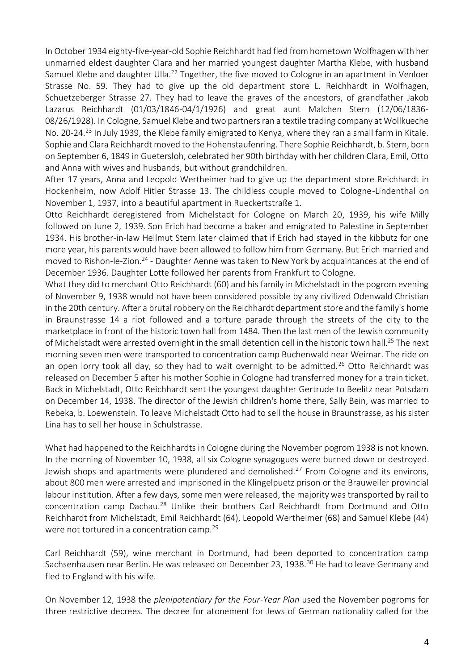In October 1934 eighty-five-year-old Sophie Reichhardt had fled from hometown Wolfhagen with her unmarried eldest daughter Clara and her married youngest daughter Martha Klebe, with husband Samuel Klebe and daughter Ulla.<sup>22</sup> Together, the five moved to Cologne in an apartment in Venloer Strasse No. 59. They had to give up the old department store L. Reichhardt in Wolfhagen, Schuetzeberger Strasse 27. They had to leave the graves of the ancestors, of grandfather Jakob Lazarus Reichhardt (01/03/1846-04/1/1926) and great aunt Malchen Stern (12/06/1836- 08/26/1928). In Cologne, Samuel Klebe and two partners ran a textile trading company at Wollkueche No. 20-24.<sup>23</sup> In July 1939, the Klebe family emigrated to Kenya, where they ran a small farm in Kitale. Sophie and Clara Reichhardt moved to the Hohenstaufenring. There Sophie Reichhardt, b. Stern, born on September 6, 1849 in Guetersloh, celebrated her 90th birthday with her children Clara, Emil, Otto and Anna with wives and husbands, but without grandchildren.

After 17 years, Anna and Leopold Wertheimer had to give up the department store Reichhardt in Hockenheim, now Adolf Hitler Strasse 13. The childless couple moved to Cologne-Lindenthal on November 1, 1937, into a beautiful apartment in Rueckertstraße 1.

Otto Reichhardt deregistered from Michelstadt for Cologne on March 20, 1939, his wife Milly followed on June 2, 1939. Son Erich had become a baker and emigrated to Palestine in September 1934. His brother-in-law Hellmut Stern later claimed that if Erich had stayed in the kibbutz for one more year, his parents would have been allowed to follow him from Germany. But Erich married and moved to Rishon-le-Zion.<sup>24</sup> - Daughter Aenne was taken to New York by acquaintances at the end of December 1936. Daughter Lotte followed her parents from Frankfurt to Cologne.

What they did to merchant Otto Reichhardt (60) and his family in Michelstadt in the pogrom evening of November 9, 1938 would not have been considered possible by any civilized Odenwald Christian in the 20th century. After a brutal robbery on the Reichhardt department store and the family's home in Braunstrasse 14 a riot followed and a torture parade through the streets of the city to the marketplace in front of the historic town hall from 1484. Then the last men of the Jewish community of Michelstadt were arrested overnight in the small detention cell in the historic town hall.<sup>25</sup> The next morning seven men were transported to concentration camp Buchenwald near Weimar. The ride on an open lorry took all day, so they had to wait overnight to be admitted.<sup>26</sup> Otto Reichhardt was released on December 5 after his mother Sophie in Cologne had transferred money for a train ticket. Back in Michelstadt, Otto Reichhardt sent the youngest daughter Gertrude to Beelitz near Potsdam on December 14, 1938. The director of the Jewish children's home there, Sally Bein, was married to Rebeka, b. Loewenstein. To leave Michelstadt Otto had to sell the house in Braunstrasse, as his sister Lina has to sell her house in Schulstrasse.

What had happened to the Reichhardts in Cologne during the November pogrom 1938 is not known. In the morning of November 10, 1938, all six Cologne synagogues were burned down or destroyed. Jewish shops and apartments were plundered and demolished.<sup>27</sup> From Cologne and its environs, about 800 men were arrested and imprisoned in the Klingelpuetz prison or the Brauweiler provincial labour institution. After a few days, some men were released, the majority was transported by rail to concentration camp Dachau.<sup>28</sup> Unlike their brothers Carl Reichhardt from Dortmund and Otto Reichhardt from Michelstadt, Emil Reichhardt (64), Leopold Wertheimer (68) and Samuel Klebe (44) were not tortured in a concentration camp.<sup>29</sup>

Carl Reichhardt (59), wine merchant in Dortmund, had been deported to concentration camp Sachsenhausen near Berlin. He was released on December 23, 1938.<sup>30</sup> He had to leave Germany and fled to England with his wife.

On November 12, 1938 the *plenipotentiary for the Four-Year Plan* used the November pogroms for three restrictive decrees. The decree for atonement for Jews of German nationality called for the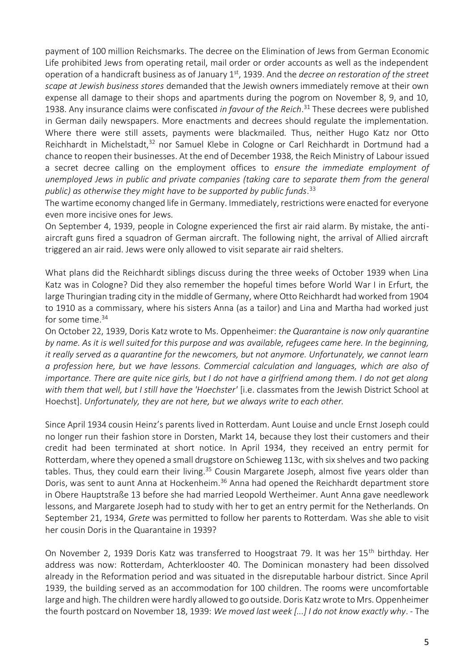payment of 100 million Reichsmarks. The decree on the Elimination of Jews from German Economic Life prohibited Jews from operating retail, mail order or order accounts as well as the independent operation of a handicraft business as of January 1<sup>st</sup>, 1939. And the *decree on restoration of the street scape at Jewish business stores* demanded that the Jewish owners immediately remove at their own expense all damage to their shops and apartments during the pogrom on November 8, 9, and 10, 1938. Any insurance claims were confiscated *in favour of the Reich*. <sup>31</sup> These decrees were published in German daily newspapers. More enactments and decrees should regulate the implementation. Where there were still assets, payments were blackmailed. Thus, neither Hugo Katz nor Otto Reichhardt in Michelstadt,<sup>32</sup> nor Samuel Klebe in Cologne or Carl Reichhardt in Dortmund had a chance to reopen their businesses. At the end of December 1938, the Reich Ministry of Labour issued a secret decree calling on the employment offices to *ensure the immediate employment of unemployed Jews in public and private companies (taking care to separate them from the general public) as otherwise they might have to be supported by public funds*. 33

The wartime economy changed life in Germany. Immediately, restrictions were enacted for everyone even more incisive ones for Jews.

On September 4, 1939, people in Cologne experienced the first air raid alarm. By mistake, the antiaircraft guns fired a squadron of German aircraft. The following night, the arrival of Allied aircraft triggered an air raid. Jews were only allowed to visit separate air raid shelters.

What plans did the Reichhardt siblings discuss during the three weeks of October 1939 when Lina Katz was in Cologne? Did they also remember the hopeful times before World War I in Erfurt, the large Thuringian trading city in the middle of Germany, where Otto Reichhardt had worked from 1904 to 1910 as a commissary, where his sisters Anna (as a tailor) and Lina and Martha had worked just for some time. $34$ 

On October 22, 1939, Doris Katz wrote to Ms. Oppenheimer: *the Quarantaine is now only quarantine by name. As it is well suited for this purpose and was available, refugees came here. In the beginning, it really served as a quarantine for the newcomers, but not anymore. Unfortunately, we cannot learn a profession here, but we have lessons. Commercial calculation and languages, which are also of importance. There are quite nice girls, but I do not have a girlfriend among them. I do not get along with them that well, but I still have the 'Hoechster'* [i.e. classmates from the Jewish District School at Hoechst]. *Unfortunately, they are not here, but we always write to each other.*

Since April 1934 cousin Heinz's parents lived in Rotterdam. Aunt Louise and uncle Ernst Joseph could no longer run their fashion store in Dorsten, Markt 14, because they lost their customers and their credit had been terminated at short notice. In April 1934, they received an entry permit for Rotterdam, where they opened a small drugstore on Schieweg 113c, with six shelves and two packing tables. Thus, they could earn their living.<sup>35</sup> Cousin Margarete Joseph, almost five years older than Doris, was sent to aunt Anna at Hockenheim.<sup>36</sup> Anna had opened the Reichhardt department store in Obere Hauptstraße 13 before she had married Leopold Wertheimer. Aunt Anna gave needlework lessons, and Margarete Joseph had to study with her to get an entry permit for the Netherlands. On September 21, 1934, *Grete* was permitted to follow her parents to Rotterdam. Was she able to visit her cousin Doris in the Quarantaine in 1939?

On November 2, 1939 Doris Katz was transferred to Hoogstraat 79. It was her 15<sup>th</sup> birthday. Her address was now: Rotterdam, Achterklooster 40. The Dominican monastery had been dissolved already in the Reformation period and was situated in the disreputable harbour district. Since April 1939, the building served as an accommodation for 100 children. The rooms were uncomfortable large and high. The children were hardly allowed to go outside. Doris Katz wrote to Mrs. Oppenheimer the fourth postcard on November 18, 1939: *We moved last week [...] I do not know exactly why*. - The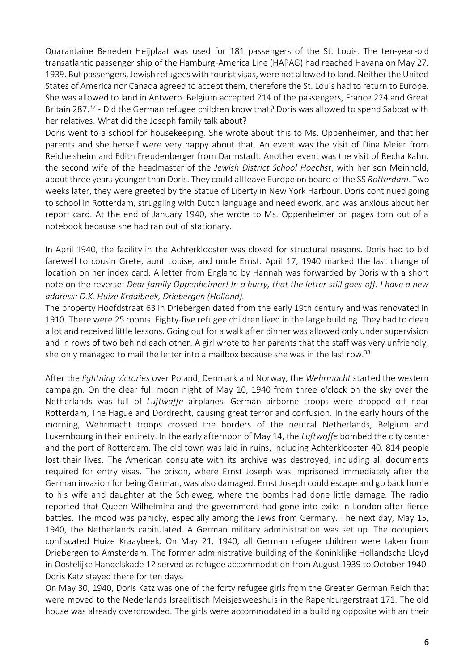Quarantaine Beneden Heijplaat was used for 181 passengers of the St. Louis. The ten-year-old transatlantic passenger ship of the Hamburg-America Line (HAPAG) had reached Havana on May 27, 1939. But passengers, Jewish refugees with tourist visas, were not allowed to land. Neither the United States of America nor Canada agreed to accept them, therefore the St. Louis had to return to Europe. She was allowed to land in Antwerp. Belgium accepted 214 of the passengers, France 224 and Great Britain 287.<sup>37</sup> - Did the German refugee children know that? Doris was allowed to spend Sabbat with her relatives. What did the Joseph family talk about?

Doris went to a school for housekeeping. She wrote about this to Ms. Oppenheimer, and that her parents and she herself were very happy about that. An event was the visit of Dina Meier from Reichelsheim and Edith Freudenberger from Darmstadt. Another event was the visit of Recha Kahn, the second wife of the headmaster of the *Jewish District School Hoechst*, with her son Meinhold, about three years younger than Doris. They could all leave Europe on board of the SS *Rotterdam*. Two weeks later, they were greeted by the Statue of Liberty in New York Harbour. Doris continued going to school in Rotterdam, struggling with Dutch language and needlework, and was anxious about her report card. At the end of January 1940, she wrote to Ms. Oppenheimer on pages torn out of a notebook because she had ran out of stationary.

In April 1940, the facility in the Achterklooster was closed for structural reasons. Doris had to bid farewell to cousin Grete, aunt Louise, and uncle Ernst. April 17, 1940 marked the last change of location on her index card. A letter from England by Hannah was forwarded by Doris with a short note on the reverse: *Dear family Oppenheimer! In a hurry, that the letter still goes off. I have a new address: D.K. Huize Kraaibeek, Driebergen (Holland).*

The property Hoofdstraat 63 in Driebergen dated from the early 19th century and was renovated in 1910. There were 25 rooms. Eighty-five refugee children lived in the large building. They had to clean a lot and received little lessons. Going out for a walk after dinner was allowed only under supervision and in rows of two behind each other. A girl wrote to her parents that the staff was very unfriendly, she only managed to mail the letter into a mailbox because she was in the last row.<sup>38</sup>

After the *lightning victories* over Poland, Denmark and Norway, the *Wehrmacht* started the western campaign. On the clear full moon night of May 10, 1940 from three o'clock on the sky over the Netherlands was full of *Luftwaffe* airplanes. German airborne troops were dropped off near Rotterdam, The Hague and Dordrecht, causing great terror and confusion. In the early hours of the morning, Wehrmacht troops crossed the borders of the neutral Netherlands, Belgium and Luxembourg in their entirety. In the early afternoon of May 14, the *Luftwaffe* bombed the city center and the port of Rotterdam. The old town was laid in ruins, including Achterklooster 40. 814 people lost their lives. The American consulate with its archive was destroyed, including all documents required for entry visas. The prison, where Ernst Joseph was imprisoned immediately after the German invasion for being German, was also damaged. Ernst Joseph could escape and go back home to his wife and daughter at the Schieweg, where the bombs had done little damage. The radio reported that Queen Wilhelmina and the government had gone into exile in London after fierce battles. The mood was panicky, especially among the Jews from Germany. The next day, May 15, 1940, the Netherlands capitulated. A German military administration was set up. The occupiers confiscated Huize Kraaybeek. On May 21, 1940, all German refugee children were taken from Driebergen to Amsterdam. The former administrative building of the Koninklijke Hollandsche Lloyd in Oostelijke Handelskade 12 served as refugee accommodation from August 1939 to October 1940. Doris Katz stayed there for ten days.

On May 30, 1940, Doris Katz was one of the forty refugee girls from the Greater German Reich that were moved to the Nederlands Israelitisch Meisjesweeshuis in the Rapenburgerstraat 171. The old house was already overcrowded. The girls were accommodated in a building opposite with an their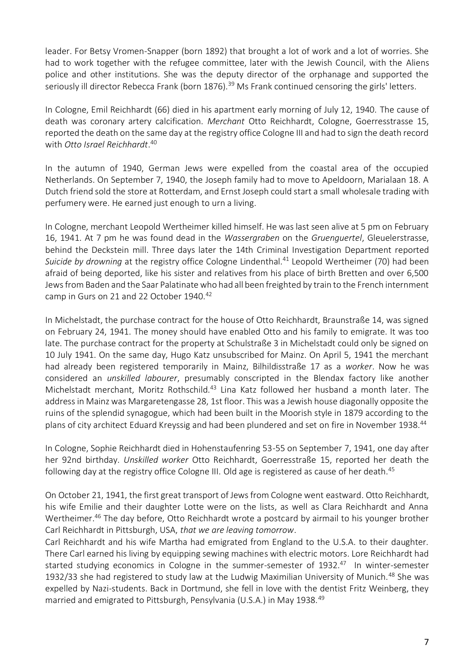leader. For Betsy Vromen-Snapper (born 1892) that brought a lot of work and a lot of worries. She had to work together with the refugee committee, later with the Jewish Council, with the Aliens police and other institutions. She was the deputy director of the orphanage and supported the seriously ill director Rebecca Frank (born 1876).<sup>39</sup> Ms Frank continued censoring the girls' letters.

In Cologne, Emil Reichhardt (66) died in his apartment early morning of July 12, 1940. The cause of death was coronary artery calcification. *Merchant* Otto Reichhardt, Cologne, Goerresstrasse 15, reported the death on the same day at the registry office Cologne III and had to sign the death record with *Otto Israel Reichhardt*. 40

In the autumn of 1940, German Jews were expelled from the coastal area of the occupied Netherlands. On September 7, 1940, the Joseph family had to move to Apeldoorn, Marialaan 18. A Dutch friend sold the store at Rotterdam, and Ernst Joseph could start a small wholesale trading with perfumery were. He earned just enough to urn a living.

In Cologne, merchant Leopold Wertheimer killed himself. He was last seen alive at 5 pm on February 16, 1941. At 7 pm he was found dead in the *Wassergraben* on the *Gruenguertel*, Gleuelerstrasse, behind the Deckstein mill. Three days later the 14th Criminal Investigation Department reported *Suicide by drowning* at the registry office Cologne Lindenthal.<sup>41</sup> Leopold Wertheimer (70) had been afraid of being deported, like his sister and relatives from his place of birth Bretten and over 6,500 Jews from Baden and the Saar Palatinate who had all been freighted by train to the French internment camp in Gurs on 21 and 22 October 1940.<sup>42</sup>

In Michelstadt, the purchase contract for the house of Otto Reichhardt, Braunstraße 14, was signed on February 24, 1941. The money should have enabled Otto and his family to emigrate. It was too late. The purchase contract for the property at Schulstraße 3 in Michelstadt could only be signed on 10 July 1941. On the same day, Hugo Katz unsubscribed for Mainz. On April 5, 1941 the merchant had already been registered temporarily in Mainz, Bilhildisstraße 17 as a *worker*. Now he was considered an *unskilled labourer*, presumably conscripted in the Blendax factory like another Michelstadt merchant, Moritz Rothschild.<sup>43</sup> Lina Katz followed her husband a month later. The address in Mainz was Margaretengasse 28, 1st floor. This was a Jewish house diagonally opposite the ruins of the splendid synagogue, which had been built in the Moorish style in 1879 according to the plans of city architect Eduard Kreyssig and had been plundered and set on fire in November 1938.<sup>44</sup>

In Cologne, Sophie Reichhardt died in Hohenstaufenring 53-55 on September 7, 1941, one day after her 92nd birthday. *Unskilled worker* Otto Reichhardt, Goerresstraße 15, reported her death the following day at the registry office Cologne III. Old age is registered as cause of her death.<sup>45</sup>

On October 21, 1941, the first great transport of Jews from Cologne went eastward. Otto Reichhardt, his wife Emilie and their daughter Lotte were on the lists, as well as Clara Reichhardt and Anna Wertheimer.<sup>46</sup> The day before, Otto Reichhardt wrote a postcard by airmail to his younger brother Carl Reichhardt in Pittsburgh, USA, *that we are leaving tomorrow*.

Carl Reichhardt and his wife Martha had emigrated from England to the U.S.A. to their daughter. There Carl earned his living by equipping sewing machines with electric motors. Lore Reichhardt had started studying economics in Cologne in the summer-semester of 1932.<sup>47</sup> In winter-semester 1932/33 she had registered to study law at the Ludwig Maximilian University of Munich.<sup>48</sup> She was expelled by Nazi-students. Back in Dortmund, she fell in love with the dentist Fritz Weinberg, they married and emigrated to Pittsburgh, Pensylvania (U.S.A.) in May 1938.<sup>49</sup>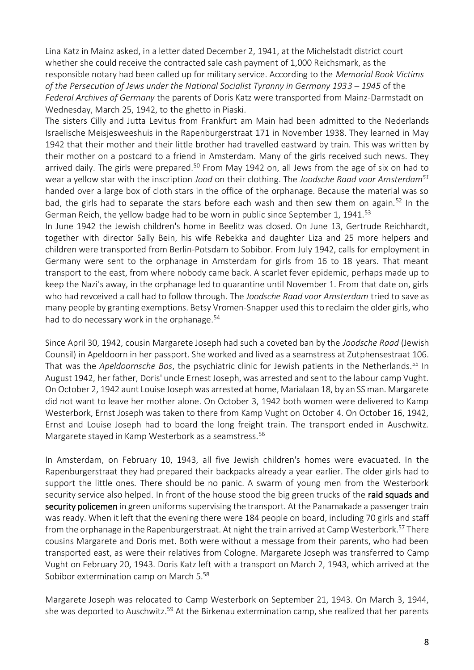Lina Katz in Mainz asked, in a letter dated December 2, 1941, at the Michelstadt district court whether she could receive the contracted sale cash payment of 1,000 Reichsmark, as the responsible notary had been called up for military service. According to the *Memorial Book Victims of the Persecution of Jews under the National Socialist Tyranny in Germany 1933 – 1945* of the *Federal Archives of Germany* the parents of Doris Katz were transported from Mainz-Darmstadt on Wednesday, March 25, 1942, to the ghetto in Piaski.

The sisters Cilly and Jutta Levitus from Frankfurt am Main had been admitted to the Nederlands Israelische Meisjesweeshuis in the Rapenburgerstraat 171 in November 1938. They learned in May 1942 that their mother and their little brother had travelled eastward by train. This was written by their mother on a postcard to a friend in Amsterdam. Many of the girls received such news. They arrived daily. The girls were prepared.<sup>50</sup> From May 1942 on, all Jews from the age of six on had to wear a yellow star with the inscription *Jood* on their clothing. The *Joodsche Raad voor Amsterdam<sup>51</sup>* handed over a large box of cloth stars in the office of the orphanage. Because the material was so bad, the girls had to separate the stars before each wash and then sew them on again.<sup>52</sup> In the German Reich, the yellow badge had to be worn in public since September 1, 1941.<sup>53</sup>

In June 1942 the Jewish children's home in Beelitz was closed. On June 13, Gertrude Reichhardt, together with director Sally Bein, his wife Rebekka and daughter Liza and 25 more helpers and children were transported from Berlin-Potsdam to Sobibor. From July 1942, calls for employment in Germany were sent to the orphanage in Amsterdam for girls from 16 to 18 years. That meant transport to the east, from where nobody came back. A scarlet fever epidemic, perhaps made up to keep the Nazi's away, in the orphanage led to quarantine until November 1. From that date on, girls who had revceived a call had to follow through. The *Joodsche Raad voor Amsterdam* tried to save as many people by granting exemptions. Betsy Vromen-Snapper used this to reclaim the older girls, who had to do necessary work in the orphanage.<sup>54</sup>

Since April 30, 1942, cousin Margarete Joseph had such a coveted ban by the *Joodsche Raad* (Jewish Counsil) in Apeldoorn in her passport. She worked and lived as a seamstress at Zutphensestraat 106. That was the *Apeldoornsche Bos*, the psychiatric clinic for Jewish patients in the Netherlands.<sup>55</sup> In August 1942, her father, Doris' uncle Ernest Joseph, was arrested and sent to the labour camp Vught. On October 2, 1942 aunt Louise Joseph was arrested at home, Marialaan 18, by an SS man. Margarete did not want to leave her mother alone. On October 3, 1942 both women were delivered to Kamp Westerbork, Ernst Joseph was taken to there from Kamp Vught on October 4. On October 16, 1942, Ernst and Louise Joseph had to board the long freight train. The transport ended in Auschwitz. Margarete stayed in Kamp Westerbork as a seamstress.<sup>56</sup>

In Amsterdam, on February 10, 1943, all five Jewish children's homes were evacuated. In the Rapenburgerstraat they had prepared their backpacks already a year earlier. The older girls had to support the little ones. There should be no panic. A swarm of young men from the Westerbork security service also helped. In front of the house stood the big green trucks of the raid squads and security policemen in green uniforms supervising the transport. At the Panamakade a passenger train was ready. When it left that the evening there were 184 people on board, including 70 girls and staff from the orphanage in the Rapenburgerstraat. At night the train arrived at Camp Westerbork.<sup>57</sup> There cousins Margarete and Doris met. Both were without a message from their parents, who had been transported east, as were their relatives from Cologne. Margarete Joseph was transferred to Camp Vught on February 20, 1943. Doris Katz left with a transport on March 2, 1943, which arrived at the Sobibor extermination camp on March 5.<sup>58</sup>

Margarete Joseph was relocated to Camp Westerbork on September 21, 1943. On March 3, 1944, she was deported to Auschwitz.<sup>59</sup> At the Birkenau extermination camp, she realized that her parents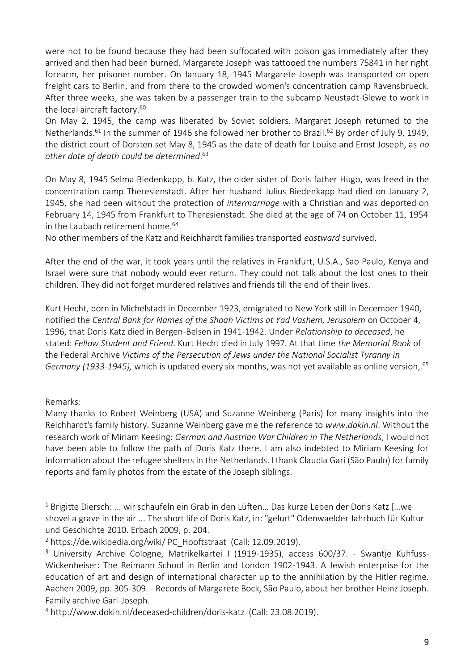were not to be found because they had been suffocated with poison gas immediately after they arrived and then had been burned. Margarete Joseph was tattooed the numbers 75841 in her right forearm, her prisoner number. On January 18, 1945 Margarete Joseph was transported on open freight cars to Berlin, and from there to the crowded women's concentration camp Ravensbrueck. After three weeks, she was taken by a passenger train to the subcamp Neustadt-Glewe to work in the local aircraft factory.<sup>60</sup>

On May 2, 1945, the camp was liberated by Soviet soldiers. Margaret Joseph returned to the Netherlands.<sup>61</sup> In the summer of 1946 she followed her brother to Brazil.<sup>62</sup> By order of July 9, 1949, the district court of Dorsten set May 8, 1945 as the date of death for Louise and Ernst Joseph, as *no other date of death could be determined*. 63

On May 8, 1945 Selma Biedenkapp, b. Katz, the older sister of Doris father Hugo, was freed in the concentration camp Theresienstadt. After her husband Julius Biedenkapp had died on January 2, 1945, she had been without the protection of *intermarriage* with a Christian and was deported on February 14, 1945 from Frankfurt to Theresienstadt. She died at the age of 74 on October 11, 1954 in the Laubach retirement home.<sup>64</sup>

No other members of the Katz and Reichhardt families transported *eastward* survived.

After the end of the war, it took years until the relatives in Frankfurt, U.S.A., Sao Paulo, Kenya and Israel were sure that nobody would ever return. They could not talk about the lost ones to their children. They did not forget murdered relatives and friends till the end of their lives.

Kurt Hecht, born in Michelstadt in December 1923, emigrated to New York still in December 1940, notified the *Central Bank for Names of the Shoah Victims at Yad Vashem, Jerusalem* on October 4, 1996, that Doris Katz died in Bergen-Belsen in 1941-1942. Under *Relationship to deceased*, he stated: *Fellow Student and Friend*. Kurt Hecht died in July 1997. At that time *the Memorial Book* of the Federal Archive *Victims of the Persecution of Jews under the National Socialist Tyranny in Germany (1933-1945),* which is updated every six months, was not yet available as online version,.<sup>65</sup>

Remarks:

Many thanks to Robert Weinberg (USA) and Suzanne Weinberg (Paris) for many insights into the Reichhardt's family history. Suzanne Weinberg gave me the reference to *www.dokin.nl*. Without the research work of Miriam Keesing: *German and Austrian War Children in The Netherlands*, I would not have been able to follow the path of Doris Katz there. I am also indebted to Miriam Keesing for information about the refugee shelters in the Netherlands. I thank Claudia Gari (São Paulo) for family reports and family photos from the estate of the Joseph siblings.

<sup>&</sup>lt;sup>1</sup> Brigitte Diersch: ... wir schaufeln ein Grab in den Lüften... Das kurze Leben der Doris Katz [...we shovel a grave in the air ... The short life of Doris Katz, in: "gelurt" Odenwaelder Jahrbuch für Kultur und Geschichte 2010. Erbach 2009, p. 204.

 $2$  https://de.wikipedia.org/wiki/ PC Hooftstraat (Call: 12.09.2019).

<sup>&</sup>lt;sup>3</sup> University Archive Cologne, Matrikelkartei I (1919-1935), access 600/37. - Swantje Kuhfuss-Wickenheiser: The Reimann School in Berlin and London 1902-1943. A Jewish enterprise for the education of art and design of international character up to the annihilation by the Hitler regime. Aachen 2009, pp. 305-309. - Records of Margarete Bock, São Paulo, about her brother Heinz Joseph. Family archive Gari-Joseph.

<sup>4</sup> <http://www.dokin.nl/deceased-children/doris-katz>(Call: 23.08.2019).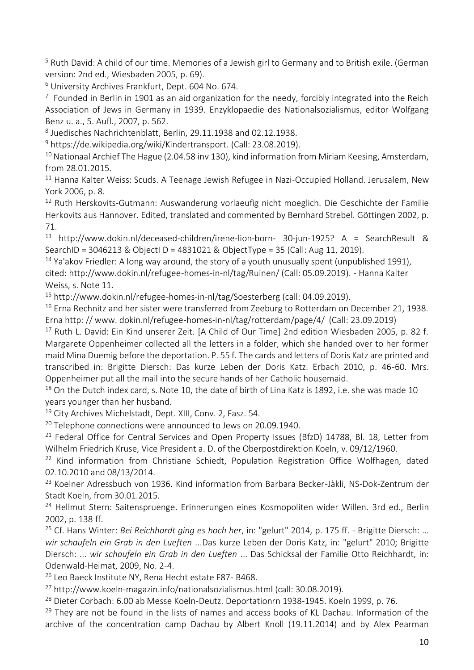<sup>5</sup> Ruth David: A child of our time. Memories of a Jewish girl to Germany and to British exile. (German version: 2nd ed., Wiesbaden 2005, p. 69).

<sup>6</sup> University Archives Frankfurt, Dept. 604 No. 674.

 $7$  Founded in Berlin in 1901 as an aid organization for the needy, forcibly integrated into the Reich Association of Jews in Germany in 1939. Enzyklopaedie des Nationalsozialismus, editor Wolfgang Benz u. a., 5. Aufl., 2007, p. 562.

8 Juedisches Nachrichtenblatt, Berlin, 29.11.1938 and 02.12.1938.

<sup>9</sup> https://de.wikipedia.org/wiki/Kindertransport. (Call: 23.08.2019).

 $10$  Nationaal Archief The Hague (2.04.58 inv 130), kind information from Miriam Keesing, Amsterdam, from 28.01.2015.

<sup>11</sup> Hanna Kalter Weiss: Scuds. A Teenage Jewish Refugee in Nazi-Occupied Holland. Jerusalem, New York 2006, p. 8.

<sup>12</sup> Ruth Herskovits-Gutmann: Auswanderung vorlaeufig nicht moeglich. Die Geschichte der Familie Herkovits aus Hannover. Edited, translated and commented by Bernhard Strebel. Göttingen 2002, p. 71.

<sup>13</sup> http://www.dokin.nl/deceased-children/irene-lion-born- 30-jun-1925? A = SearchResult & SearchID = 3046213 & ObjectI D = 4831021 & ObjectType = 35 (Call: Aug 11, 2019).

 $14$  Ya'akov Friedler: A long way around, the story of a youth unusually spent (unpublished 1991), cited: http://www.dokin.nl/refugee-homes-in-nl/tag/Ruinen/ (Call: 05.09.2019). - Hanna Kalter Weiss, s. Note 11.

<sup>15</sup> http://www.dokin.nl/refugee-homes-in-nl/tag/Soesterberg (call: 04.09.2019).

<sup>16</sup> Erna Rechnitz and her sister were transferred from Zeeburg to Rotterdam on December 21, 1938. Erna http: // www. dokin.nl/refugee-homes-in-nl/tag/rotterdam/page/4/ (Call: 23.09.2019)

<sup>17</sup> Ruth L. David: Ein Kind unserer Zeit. [A Child of Our Time] 2nd edition Wiesbaden 2005, p. 82 f. Margarete Oppenheimer collected all the letters in a folder, which she handed over to her former maid Mina Duemig before the deportation. P. 55 f. The cards and letters of Doris Katz are printed and transcribed in: Brigitte Diersch: Das kurze Leben der Doris Katz. Erbach 2010, p. 46-60. Mrs. Oppenheimer put all the mail into the secure hands of her Catholic housemaid.

<sup>18</sup> On the Dutch index card, s. Note 10, the date of birth of Lina Katz is 1892, i.e. she was made 10 years younger than her husband.

<sup>19</sup> City Archives Michelstadt, Dept. XIII, Conv. 2, Fasz. 54.

<sup>20</sup> Telephone connections were announced to Jews on 20.09.1940.

<sup>21</sup> Federal Office for Central Services and Open Property Issues (BfzD) 14788, Bl. 18, Letter from Wilhelm Friedrich Kruse, Vice President a. D. of the Oberpostdirektion Koeln, v. 09/12/1960.

<sup>22</sup> Kind information from Christiane Schiedt, Population Registration Office Wolfhagen, dated 02.10.2010 and 08/13/2014.

<sup>23</sup> Koelner Adressbuch von 1936. Kind information from Barbara Becker-Jàkli, NS-Dok-Zentrum der Stadt Koeln, from 30.01.2015.

<sup>24</sup> Hellmut Stern: Saitenspruenge. Erinnerungen eines Kosmopoliten wider Willen. 3rd ed., Berlin 2002, p. 138 ff.

<sup>25</sup> Cf. Hans Winter: *Bei Reichhardt ging es hoch her*, in: "gelurt" 2014, p. 175 ff. - Brigitte Diersch: ... *wir schaufeln ein Grab in den Lueften* ...Das kurze Leben der Doris Katz, in: "gelurt" 2010; Brigitte Diersch: ... *wir schaufeln ein Grab in den Lueften* ... Das Schicksal der Familie Otto Reichhardt, in: Odenwald-Heimat, 2009, No. 2-4.

<sup>26</sup> Leo Baeck Institute NY, Rena Hecht estate F87- B468.

<sup>27</sup> http://www.koeln-magazin.info/nationalsozialismus.html (call: 30.08.2019).

<sup>28</sup> Dieter Corbach: 6.00 ab Messe Koeln-Deutz. Deportationrn 1938-1945. Koeln 1999, p. 76.

<sup>29</sup> They are not be found in the lists of names and access books of KL Dachau. Information of the archive of the concentration camp Dachau by Albert Knoll (19.11.2014) and by Alex Pearman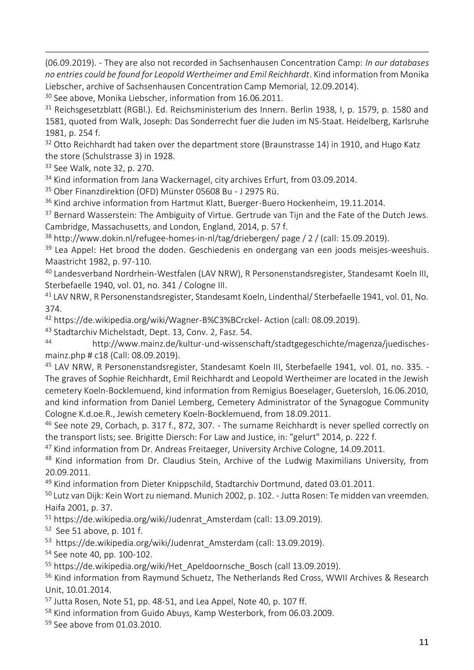(06.09.2019). - They are also not recorded in Sachsenhausen Concentration Camp: *In our databases no entries could be found for Leopold Wertheimer and Emil Reichhardt*. Kind information from Monika Liebscher, archive of Sachsenhausen Concentration Camp Memorial, 12.09.2014).

<sup>30</sup> See above, Monika Liebscher, information from 16.06.2011.

<sup>31</sup> Reichsgesetzblatt (RGBl.). Ed. Reichsministerium des Innern. Berlin 1938, I, p. 1579, p. 1580 and 1581, quoted from Walk, Joseph: Das Sonderrecht fuer die Juden im NS-Staat. Heidelberg, Karlsruhe 1981, p. 254 f.

 $32$  Otto Reichhardt had taken over the department store (Braunstrasse 14) in 1910, and Hugo Katz the store (Schulstrasse 3) in 1928.

<sup>33</sup> See Walk, note 32, p. 270.

<sup>34</sup> Kind information from Jana Wackernagel, city archives Erfurt, from 03.09.2014.

<sup>35</sup> Ober Finanzdirektion (OFD) Münster 05608 Bu - J 2975 Rü.

<sup>36</sup> Kind archive information from Hartmut Klatt, Buerger-Buero Hockenheim, 19.11.2014.

<sup>37</sup> Bernard Wasserstein: The Ambiguity of Virtue. Gertrude van Tijn and the Fate of the Dutch Jews. Cambridge, Massachusetts, and London, England, 2014, p. 57 f.

<sup>38</sup> http://www.dokin.nl/refugee-homes-in-nl/tag/driebergen/ page / 2 / (call: 15.09.2019).

<sup>39</sup> Lea Appel: Het brood the doden. Geschiedenis en ondergang van een joods meisjes-weeshuis. Maastricht 1982, p. 97-110.

<sup>40</sup> Landesverband Nordrhein-Westfalen (LAV NRW), R Personenstandsregister, Standesamt Koeln III, Sterbefaelle 1940, vol. 01, no. 341 / Cologne III.

<sup>41</sup> LAV NRW, R Personenstandsregister, Standesamt Koeln, Lindenthal/ Sterbefaelle 1941, vol. 01, No. 374.

<sup>42</sup> https://de.wikipedia.org/wiki/Wagner-B%C3%BCrckel- Action (call: 08.09.2019).

<sup>43</sup> Stadtarchiv Michelstadt, Dept. 13, Conv. 2, Fasz. 54.

<sup>44</sup> http://www.mainz.de/kultur-und-wissenschaft/stadtgegeschichte/magenza/juedischesmainz.php # c18 (Call: 08.09.2019).

<sup>45</sup> LAV NRW, R Personenstandsregister, Standesamt Koeln III, Sterbefaelle 1941, vol. 01, no. 335. - The graves of Sophie Reichhardt, Emil Reichhardt and Leopold Wertheimer are located in the Jewish cemetery Koeln-Bocklemuend, kind information from Remigius Boeselager, Guetersloh, 16.06.2010, and kind information from Daniel Lemberg, Cemetery Administrator of the Synagogue Community Cologne K.d.oe.R., Jewish cemetery Koeln-Bocklemuend, from 18.09.2011.

<sup>46</sup> See note 29, Corbach, p. 317 f., 872, 307. - The surname Reichhardt is never spelled correctly on the transport lists; see. Brigitte Diersch: For Law and Justice, in: "gelurt" 2014, p. 222 f.

<sup>47</sup> Kind information from Dr. Andreas Freitaeger, University Archive Cologne, 14.09.2011.

<sup>48</sup> Kind information from Dr. Claudius Stein, Archive of the Ludwig Maximilians University, from 20.09.2011.

<sup>49</sup> Kind information from Dieter Knippschild, Stadtarchiv Dortmund, dated 03.01.2011.

<sup>50</sup> Lutz van Dijk: Kein Wort zu niemand. Munich 2002, p. 102. - Jutta Rosen: Te midden van vreemden. Haifa 2001, p. 37.

<sup>51</sup> https://de.wikipedia.org/wiki/Judenrat\_Amsterdam (call: 13.09.2019).

<sup>52</sup> See 51 above, p. 101 f.

<sup>53</sup> https://de.wikipedia.org/wiki/Judenrat Amsterdam (call: 13.09.2019).

<sup>54</sup> See note 40, pp. 100-102.

<sup>55</sup> https://de.wikipedia.org/wiki/Het Apeldoornsche Bosch (call 13.09.2019).

<sup>56</sup> Kind information from Raymund Schuetz, The Netherlands Red Cross, WWII Archives & Research Unit, 10.01.2014.

<sup>57</sup> Jutta Rosen, Note 51, pp. 48-51, and Lea Appel, Note 40, p. 107 ff.

<sup>58</sup> Kind information from Guido Abuys, Kamp Westerbork, from 06.03.2009.

<sup>59</sup> See above from 01.03.2010.